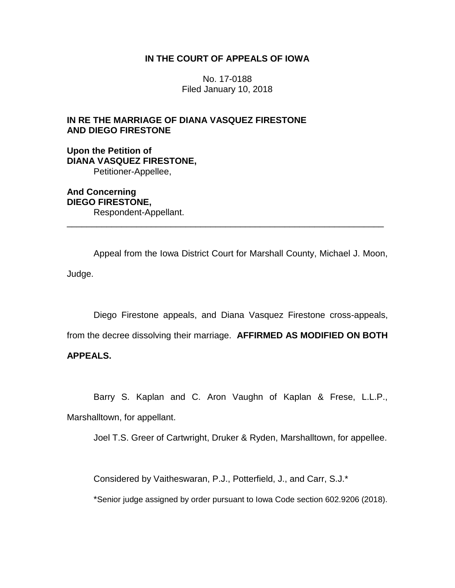# **IN THE COURT OF APPEALS OF IOWA**

No. 17-0188 Filed January 10, 2018

# **IN RE THE MARRIAGE OF DIANA VASQUEZ FIRESTONE AND DIEGO FIRESTONE**

**Upon the Petition of DIANA VASQUEZ FIRESTONE,** Petitioner-Appellee,

**And Concerning DIEGO FIRESTONE,** Respondent-Appellant.

Appeal from the Iowa District Court for Marshall County, Michael J. Moon, Judge.

\_\_\_\_\_\_\_\_\_\_\_\_\_\_\_\_\_\_\_\_\_\_\_\_\_\_\_\_\_\_\_\_\_\_\_\_\_\_\_\_\_\_\_\_\_\_\_\_\_\_\_\_\_\_\_\_\_\_\_\_\_\_\_\_

Diego Firestone appeals, and Diana Vasquez Firestone cross-appeals,

from the decree dissolving their marriage. **AFFIRMED AS MODIFIED ON BOTH** 

# **APPEALS.**

Barry S. Kaplan and C. Aron Vaughn of Kaplan & Frese, L.L.P., Marshalltown, for appellant.

Joel T.S. Greer of Cartwright, Druker & Ryden, Marshalltown, for appellee.

Considered by Vaitheswaran, P.J., Potterfield, J., and Carr, S.J.\*

\*Senior judge assigned by order pursuant to Iowa Code section 602.9206 (2018).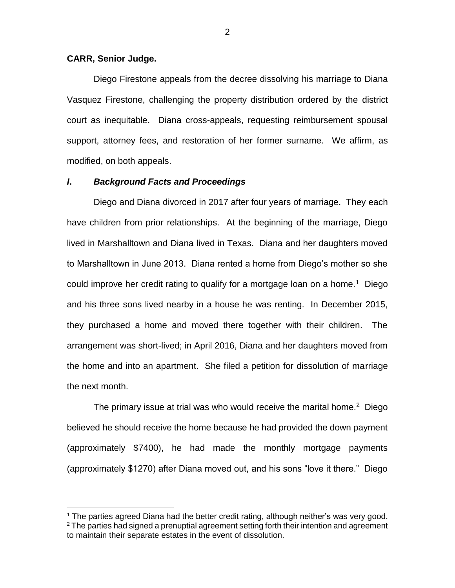## **CARR, Senior Judge.**

 $\overline{a}$ 

Diego Firestone appeals from the decree dissolving his marriage to Diana Vasquez Firestone, challenging the property distribution ordered by the district court as inequitable. Diana cross-appeals, requesting reimbursement spousal support, attorney fees, and restoration of her former surname. We affirm, as modified, on both appeals.

## *I***.** *Background Facts and Proceedings*

Diego and Diana divorced in 2017 after four years of marriage. They each have children from prior relationships. At the beginning of the marriage, Diego lived in Marshalltown and Diana lived in Texas. Diana and her daughters moved to Marshalltown in June 2013. Diana rented a home from Diego's mother so she could improve her credit rating to qualify for a mortgage loan on a home.<sup>1</sup> Diego and his three sons lived nearby in a house he was renting. In December 2015, they purchased a home and moved there together with their children. The arrangement was short-lived; in April 2016, Diana and her daughters moved from the home and into an apartment. She filed a petition for dissolution of marriage the next month.

The primary issue at trial was who would receive the marital home.<sup>2</sup> Diego believed he should receive the home because he had provided the down payment (approximately \$7400), he had made the monthly mortgage payments (approximately \$1270) after Diana moved out, and his sons "love it there." Diego

<sup>&</sup>lt;sup>1</sup> The parties agreed Diana had the better credit rating, although neither's was very good.  $2$  The parties had signed a prenuptial agreement setting forth their intention and agreement to maintain their separate estates in the event of dissolution.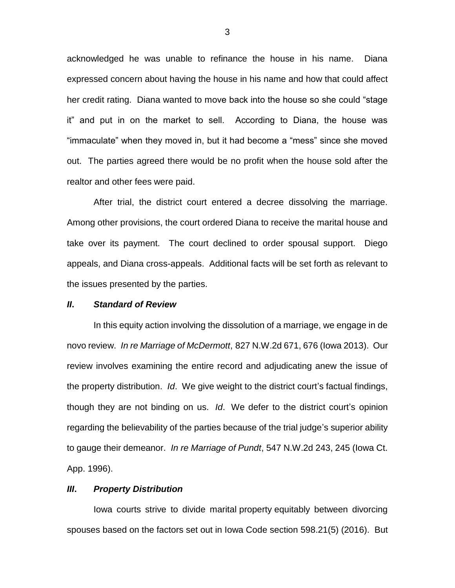acknowledged he was unable to refinance the house in his name. Diana expressed concern about having the house in his name and how that could affect her credit rating. Diana wanted to move back into the house so she could "stage it" and put in on the market to sell. According to Diana, the house was "immaculate" when they moved in, but it had become a "mess" since she moved out. The parties agreed there would be no profit when the house sold after the realtor and other fees were paid.

After trial, the district court entered a decree dissolving the marriage. Among other provisions, the court ordered Diana to receive the marital house and take over its payment. The court declined to order spousal support. Diego appeals, and Diana cross-appeals. Additional facts will be set forth as relevant to the issues presented by the parties.

## *II***.** *Standard of Review*

In this equity action involving the dissolution of a marriage, we engage in de novo review. *In re Marriage of McDermott*, 827 N.W.2d 671, 676 (Iowa 2013). Our review involves examining the entire record and adjudicating anew the issue of the property distribution. *Id*. We give weight to the district court's factual findings, though they are not binding on us. *Id*. We defer to the district court's opinion regarding the believability of the parties because of the trial judge's superior ability to gauge their demeanor. *In re Marriage of Pundt*, 547 N.W.2d 243, 245 (Iowa Ct. App. 1996).

## *III***.** *Property Distribution*

Iowa courts strive to divide marital property equitably between divorcing spouses based on the factors set out in Iowa Code section 598.21(5) (2016). But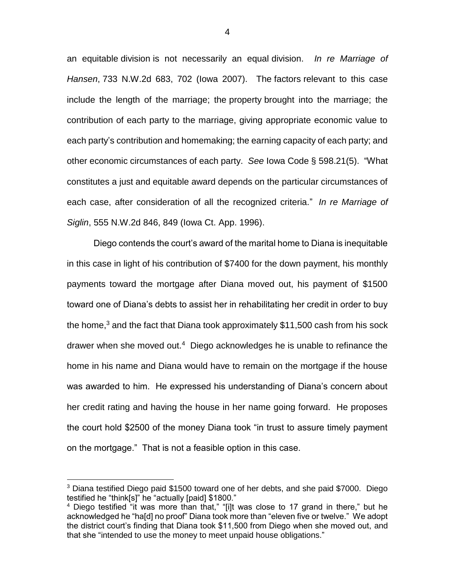an equitable division is not necessarily an equal division. *In re Marriage of Hansen*, 733 N.W.2d 683, 702 (Iowa 2007). The factors relevant to this case include the length of the marriage; the property brought into the marriage; the contribution of each party to the marriage, giving appropriate economic value to each party's contribution and homemaking; the earning capacity of each party; and other economic circumstances of each party. *See* Iowa Code § 598.21(5). "What constitutes a just and equitable award depends on the particular circumstances of each case, after consideration of all the recognized criteria." *In re Marriage of Siglin*, 555 N.W.2d 846, 849 (Iowa Ct. App. 1996).

Diego contends the court's award of the marital home to Diana is inequitable in this case in light of his contribution of \$7400 for the down payment, his monthly payments toward the mortgage after Diana moved out, his payment of \$1500 toward one of Diana's debts to assist her in rehabilitating her credit in order to buy the home,<sup>3</sup> and the fact that Diana took approximately \$11,500 cash from his sock drawer when she moved out.<sup>4</sup> Diego acknowledges he is unable to refinance the home in his name and Diana would have to remain on the mortgage if the house was awarded to him. He expressed his understanding of Diana's concern about her credit rating and having the house in her name going forward. He proposes the court hold \$2500 of the money Diana took "in trust to assure timely payment on the mortgage." That is not a feasible option in this case.

 $\overline{a}$ 

<sup>&</sup>lt;sup>3</sup> Diana testified Diego paid \$1500 toward one of her debts, and she paid \$7000. Diego testified he "think[s]" he "actually [paid] \$1800."

<sup>&</sup>lt;sup>4</sup> Diego testified "it was more than that," "[i]t was close to 17 grand in there," but he acknowledged he "ha[d] no proof" Diana took more than "eleven five or twelve." We adopt the district court's finding that Diana took \$11,500 from Diego when she moved out, and that she "intended to use the money to meet unpaid house obligations."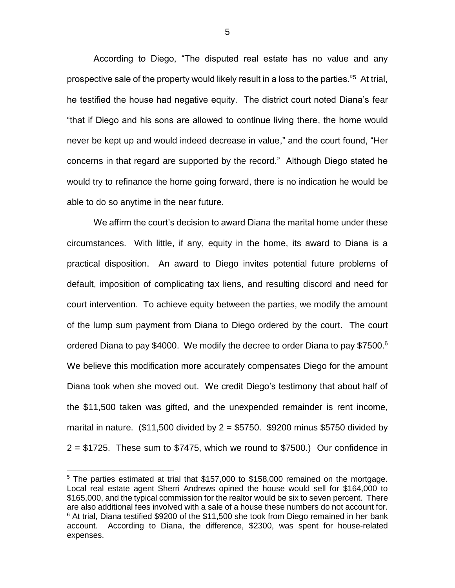According to Diego, "The disputed real estate has no value and any prospective sale of the property would likely result in a loss to the parties."<sup>5</sup> At trial, he testified the house had negative equity. The district court noted Diana's fear "that if Diego and his sons are allowed to continue living there, the home would never be kept up and would indeed decrease in value," and the court found, "Her concerns in that regard are supported by the record." Although Diego stated he would try to refinance the home going forward, there is no indication he would be able to do so anytime in the near future.

We affirm the court's decision to award Diana the marital home under these circumstances. With little, if any, equity in the home, its award to Diana is a practical disposition. An award to Diego invites potential future problems of default, imposition of complicating tax liens, and resulting discord and need for court intervention. To achieve equity between the parties, we modify the amount of the lump sum payment from Diana to Diego ordered by the court. The court ordered Diana to pay \$4000. We modify the decree to order Diana to pay \$7500.<sup>6</sup> We believe this modification more accurately compensates Diego for the amount Diana took when she moved out.We credit Diego's testimony that about half of the \$11,500 taken was gifted, and the unexpended remainder is rent income, marital in nature.  $$11,500$  divided by  $2 = $5750$ . \$9200 minus \$5750 divided by  $2 = $1725$ . These sum to \$7475, which we round to \$7500.) Our confidence in

 $\overline{a}$ 

 $5$  The parties estimated at trial that \$157,000 to \$158,000 remained on the mortgage. Local real estate agent Sherri Andrews opined the house would sell for \$164,000 to \$165,000, and the typical commission for the realtor would be six to seven percent. There are also additional fees involved with a sale of a house these numbers do not account for.  $6$  At trial, Diana testified \$9200 of the \$11,500 she took from Diego remained in her bank account. According to Diana, the difference, \$2300, was spent for house-related expenses.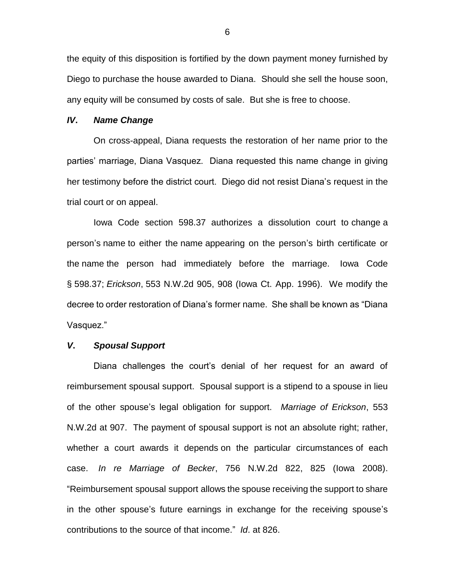the equity of this disposition is fortified by the down payment money furnished by Diego to purchase the house awarded to Diana. Should she sell the house soon, any equity will be consumed by costs of sale. But she is free to choose.

#### *IV***.** *Name Change*

On cross-appeal, Diana requests the restoration of her name prior to the parties' marriage, Diana Vasquez. Diana requested this name change in giving her testimony before the district court. Diego did not resist Diana's request in the trial court or on appeal.

Iowa Code section 598.37 authorizes a dissolution court to change a person's name to either the name appearing on the person's birth certificate or the name the person had immediately before the marriage. Iowa Code § 598.37; *Erickson*, 553 N.W.2d 905, 908 (Iowa Ct. App. 1996). We modify the decree to order restoration of Diana's former name. She shall be known as "Diana Vasquez."

## *V***.** *Spousal Support*

Diana challenges the court's denial of her request for an award of reimbursement spousal support. Spousal support is a stipend to a spouse in lieu of the other spouse's legal obligation for support. *Marriage of Erickson*, 553 N.W.2d at 907. The payment of spousal support is not an absolute right; rather, whether a court awards it depends on the particular circumstances of each case. *In re Marriage of Becker*, 756 N.W.2d 822, 825 (Iowa 2008). "Reimbursement spousal support allows the spouse receiving the support to share in the other spouse's future earnings in exchange for the receiving spouse's contributions to the source of that income." *Id*. at 826.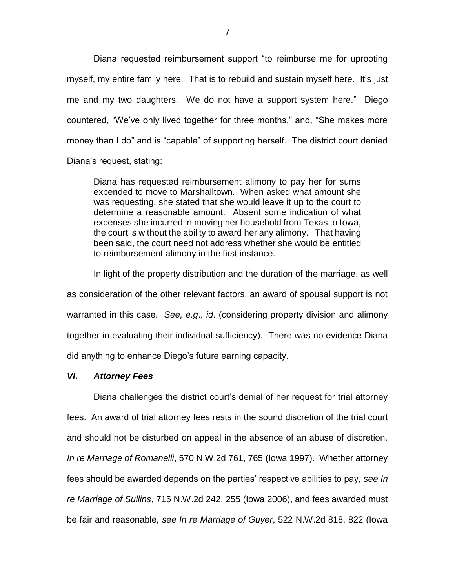Diana requested reimbursement support "to reimburse me for uprooting myself, my entire family here. That is to rebuild and sustain myself here. It's just me and my two daughters. We do not have a support system here." Diego countered, "We've only lived together for three months," and, "She makes more money than I do" and is "capable" of supporting herself. The district court denied Diana's request, stating:

Diana has requested reimbursement alimony to pay her for sums expended to move to Marshalltown. When asked what amount she was requesting, she stated that she would leave it up to the court to determine a reasonable amount. Absent some indication of what expenses she incurred in moving her household from Texas to Iowa, the court is without the ability to award her any alimony. That having been said, the court need not address whether she would be entitled to reimbursement alimony in the first instance.

In light of the property distribution and the duration of the marriage, as well as consideration of the other relevant factors, an award of spousal support is not warranted in this case. *See, e.g*., *id*. (considering property division and alimony together in evaluating their individual sufficiency). There was no evidence Diana did anything to enhance Diego's future earning capacity.

## *VI***.** *Attorney Fees*

Diana challenges the district court's denial of her request for trial attorney fees. An award of trial attorney fees rests in the sound discretion of the trial court and should not be disturbed on appeal in the absence of an abuse of discretion. *In re Marriage of Romanelli*, 570 N.W.2d 761, 765 (Iowa 1997). Whether attorney fees should be awarded depends on the parties' respective abilities to pay, *see In re Marriage of Sullins*, 715 N.W.2d 242, 255 (Iowa 2006), and fees awarded must be fair and reasonable, *see In re Marriage of Guyer*, 522 N.W.2d 818, 822 (Iowa